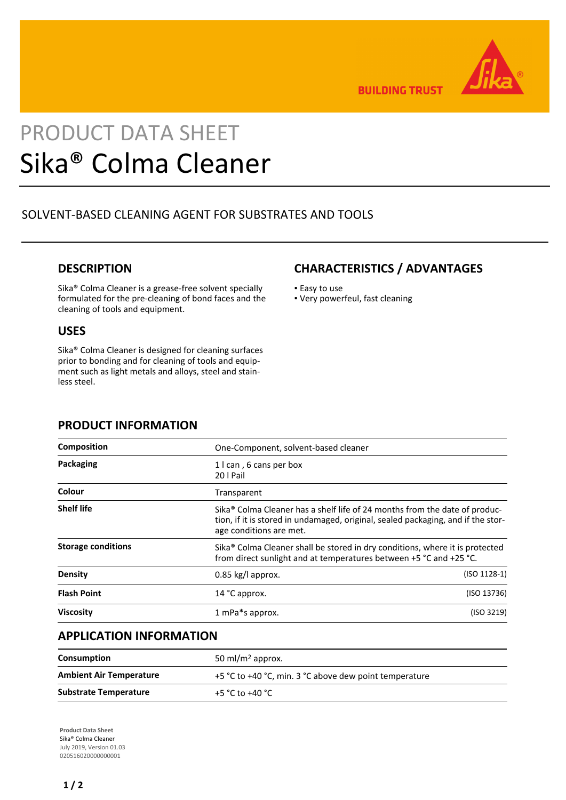

**BUILDING TRUST** 

# PRODUCT DATA SHEET Sika® Colma Cleaner

# SOLVENT-BASED CLEANING AGENT FOR SUBSTRATES AND TOOLS

## **DESCRIPTION**

Sika® Colma Cleaner is a grease-free solvent specially formulated for the pre-cleaning of bond faces and the cleaning of tools and equipment.

### **USES**

Sika® Colma Cleaner is designed for cleaning surfaces prior to bonding and for cleaning of tools and equipment such as light metals and alloys, steel and stainless steel.

## **CHARACTERISTICS / ADVANTAGES**

- **Easy to use**
- Very powerfeul, fast cleaning

## **PRODUCT INFORMATION**

| Composition               | One-Component, solvent-based cleaner                                                                                                                                                      |                |
|---------------------------|-------------------------------------------------------------------------------------------------------------------------------------------------------------------------------------------|----------------|
| Packaging                 | 1 I can, 6 cans per box<br>20   Pail                                                                                                                                                      |                |
| Colour                    | Transparent                                                                                                                                                                               |                |
| <b>Shelf life</b>         | Sika® Colma Cleaner has a shelf life of 24 months from the date of produc-<br>tion, if it is stored in undamaged, original, sealed packaging, and if the stor-<br>age conditions are met. |                |
| <b>Storage conditions</b> | Sika <sup>®</sup> Colma Cleaner shall be stored in dry conditions, where it is protected<br>from direct sunlight and at temperatures between +5 °C and +25 °C.                            |                |
| <b>Density</b>            | $0.85$ kg/l approx.                                                                                                                                                                       | $(ISO 1128-1)$ |
| <b>Flash Point</b>        | 14 °C approx.                                                                                                                                                                             | (ISO 13736)    |
| <b>Viscosity</b>          | 1 mPa*s approx.                                                                                                                                                                           | (ISO 3219)     |

## **APPLICATION INFORMATION**

| <b>Consumption</b>             | 50 ml/m <sup>2</sup> approx.                           |  |
|--------------------------------|--------------------------------------------------------|--|
| <b>Ambient Air Temperature</b> | +5 °C to +40 °C, min. 3 °C above dew point temperature |  |
| <b>Substrate Temperature</b>   | +5 °C to +40 °C                                        |  |

**Product Data Sheet** Sika® Colma Cleaner July 2019, Version 01.03 020516020000000001